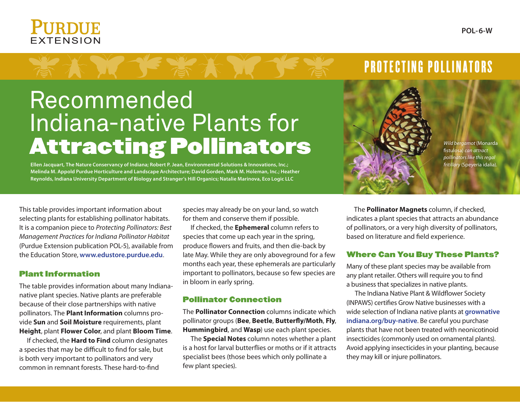# **FXTENSION**



## Recommended Indiana-native Plants for Attracting Pollinators



*Wild bergamot* (Monarda fistulosa) *can attract pollinators like this regal fritillary* (Speyeria idalia)*.*

**Ellen Jacquart, The Nature Conservancy of Indiana; Robert P. Jean, Environmental Solutions & Innovations, Inc.; Melinda M. Appold Purdue Horticulture and Landscape Architecture; David Gorden, Mark M. Holeman, Inc.; Heather Reynolds, Indiana University Department of Biology and Stranger's Hill Organics; Natalie Marinova, Eco Logic LLC**

This table provides important information about selecting plants for establishing pollinator habitats. It is a companion piece to *Protecting Pollinators: Best Management Practices for Indiana Pollinator Habitat*  (Purdue Extension publication POL-5), available from the Education Store, **www.edustore.purdue.edu**.

#### Plant Information

The table provides information about many Indiananative plant species. Native plants are preferable because of their close partnerships with native pollinators. The **Plant Information** columns provide **Sun** and **Soil Moisture** requirements, plant **Height**, plant **Flower Color**, and plant **Bloom Time**.

If checked, the **Hard to Find** column designates a species that may be difficult to find for sale, but is both very important to pollinators and very common in remnant forests. These hard-to-find

species may already be on your land, so watch for them and conserve them if possible.

If checked, the **Ephemeral** column refers to species that come up each year in the spring, produce flowers and fruits, and then die-back by late May. While they are only aboveground for a few months each year, these ephemerals are particularly important to pollinators, because so few species are in bloom in early spring.

#### Pollinator Connection

The **Pollinator Connection** columns indicate which pollinator groups (**Bee**, **Beetle**, **Butterfly/Moth**, **Fly**, **Hummingbird**, and **Wasp**) use each plant species.

The **Special Notes** column notes whether a plant is a host for larval butterflies or moths or if it attracts specialist bees (those bees which only pollinate a few plant species).

The **Pollinator Magnets** column, if checked, indicates a plant species that attracts an abundance of pollinators, or a very high diversity of pollinators, based on literature and field experience.

**PROTECTING POLLINATORS** 

#### Where Can You Buy These Plants?

Many of these plant species may be available from any plant retailer. Others will require you to find a business that specializes in native plants.

The Indiana Native Plant & Wildflower Society (INPAWS) certifies Grow Native businesses with a wide selection of Indiana native plants at **grownative indiana.org/buy-native**. Be careful you purchase plants that have not been treated with neonicotinoid insecticides (commonly used on ornamental plants). Avoid applying insecticides in your planting, because they may kill or injure pollinators.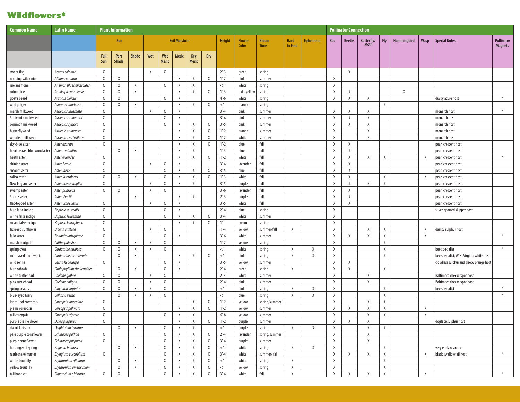#### **Wildflowers\***

| <b>Common Name</b>           | <b>Latin Name</b>          |              | <b>Plant Information</b> |              |              |                     |                      |                     |              |               |                        |                             |                        |                  |              | <b>Pollinator Connection</b> |                    |            |                    |             |                                          |                                     |
|------------------------------|----------------------------|--------------|--------------------------|--------------|--------------|---------------------|----------------------|---------------------|--------------|---------------|------------------------|-----------------------------|------------------------|------------------|--------------|------------------------------|--------------------|------------|--------------------|-------------|------------------------------------------|-------------------------------------|
|                              |                            |              | Sun                      |              |              |                     | <b>Soil Moisture</b> |                     |              | Height        | <b>Flower</b><br>Color | <b>Bloom</b><br><b>Time</b> | <b>Hard</b><br>to Find | <b>Ephemeral</b> | <b>Bee</b>   | <b>Beetle</b>                | Butterfly/<br>Moth | <b>Fly</b> | <b>Hummingbird</b> | <b>Wasp</b> | <b>Special Notes</b>                     | <b>Pollinator</b><br><b>Magnets</b> |
|                              |                            | Full<br>Sun  | Part<br><b>Shade</b>     | <b>Shade</b> | Wet          | Wet<br><b>Mesic</b> | <b>Mesic</b>         | Dry<br><b>Mesic</b> | Dry          |               |                        |                             |                        |                  |              |                              |                    |            |                    |             |                                          |                                     |
| sweet flag                   | Acorus calamus             | $\chi$       |                          |              | X            | X                   |                      |                     |              | $2' - 3'$     | green                  | spring                      |                        |                  |              | X                            |                    |            |                    |             |                                          |                                     |
| nodding wild onion           | Allium cernuum             | $\chi$       | $\chi$                   |              |              |                     | $\chi$               | X                   | X            | $1'-2'$       | pink                   | summer                      |                        |                  | $\chi$       |                              |                    |            |                    |             |                                          |                                     |
| rue anemone                  | Anemonella thalictroides   | Χ            | X                        | X            |              | X                   | Χ                    | X                   |              | <1'           | white                  | spring                      |                        |                  | X            |                              |                    |            |                    |             |                                          |                                     |
| columbine                    | Aquilegia canadensis       | Χ            | $\chi$                   | $\chi$       |              |                     | $\chi$               | X                   | X            | $1'-3'$       | red - yellow           | spring                      |                        |                  | $\chi$       | X                            |                    |            | X                  |             |                                          |                                     |
| goat's beard                 | Aruncus dioicus            | $\mathsf{X}$ | $\mathsf{X}$             |              |              | X                   | $\chi$               |                     |              | $4'-6'$       | white                  | spring                      |                        |                  | $\chi$       | X                            | $\mathsf{X}$       |            |                    |             | dusky azure host                         | $\ast$                              |
| wild ginger                  | Asarum canadense           | $\chi$       | X                        | Χ            |              |                     | Χ                    | Χ                   | X            | <1'           | maroon                 | spring                      |                        |                  |              |                              |                    | X          |                    |             |                                          |                                     |
| marsh milkweed               | Asclepias incarnata        | $\chi$       |                          |              | $\chi$       | X                   | Χ                    |                     |              | $3' - 4'$     | pink                   | summer                      |                        |                  | $\chi$       | X                            | $\mathsf{X}$       |            |                    |             | monarch host                             | $\ast$                              |
| Sullivant's milkweed         | Asclepias sullivantii      | X            |                          |              |              | X                   | Χ                    |                     |              | $3' - 4'$     | pink                   | summer                      |                        |                  | X            | X                            | X                  |            |                    |             | monarch host                             |                                     |
| common milkweed              | Asclepias syriaca          | Χ            |                          |              |              | X                   | X                    | X                   | X            | $3'-5'$       | pink                   | summer                      |                        |                  | X            | X                            | X                  |            |                    |             | monarch host                             |                                     |
| butterflyweed                | Asclepias tuberosa         | $\chi$       |                          |              |              |                     | $\chi$               | X                   | $\mathsf{X}$ | $1'-2'$       | orange                 | summer                      |                        |                  | $\chi$       |                              | $\chi$             |            |                    |             | monarch host                             |                                     |
| whorled milkweed             | Asclepias verticillata     | X            |                          |              |              |                     | $\chi$               | X                   | X            | $1'-2'$       | white                  | summer                      |                        |                  | $\chi$       |                              | X                  |            |                    |             | monarch host                             |                                     |
| sky-blue aster               | Aster azureus              | X            |                          |              |              |                     | Χ                    | X                   | $\lambda$    | $1'-2'$       | blue                   | fall                        |                        |                  | X            | X                            |                    |            |                    |             | pearl crescent host                      |                                     |
| heart-leaved blue wood aster | Aster cordifolius          |              | X                        | X            |              |                     | $\chi$               | $\chi$              |              | $1'-3'$       | blue                   | fall                        |                        |                  | X            | X                            |                    |            |                    |             | pearl crescent host                      |                                     |
| heath aster                  | Aster ericoides            | $\chi$       |                          |              |              |                     | $\chi$               | $\chi$              | $\chi$       | $1'-2'$       | white                  | fall                        |                        |                  | $\chi$       | X                            | $\mathsf{X}$       | X          |                    | X           | pearl crescent host                      | $\ast$                              |
| shining aster                | Aster firmus               | $\chi$       |                          |              | Χ            | X                   | Χ                    |                     |              | $3' - 4'$     | lavender               | fall                        |                        |                  | Χ            | X                            |                    |            |                    |             | pearl crescent host                      |                                     |
| smooth aster                 | Aster laevis               | $\chi$       |                          |              |              | $\chi$              | Χ                    | X                   | X            | $3'-5'$       | blue                   | fall                        |                        |                  | $\chi$       | X                            |                    |            |                    |             | pearl crescent host                      |                                     |
| calico aster                 | Aster lateriflorus         | X            | X                        | X            |              | X                   | Χ                    | X                   | X            | $1'-3'$       | white                  | fall                        |                        |                  | X            | X                            |                    | X          |                    | X           | pearl crescent host                      |                                     |
| New England aster            | Aster novae-angliae        | X            |                          |              | Χ            | X                   | X                    | Χ                   |              | $3'-5'$       | purple                 | fall                        |                        |                  | X            | X                            | X                  | X          |                    |             | pearl crescent host                      |                                     |
| swamp aster                  | Aster puniceus             | $\chi$       | X                        |              | $\chi$       | X                   |                      |                     |              | $3'-6'$       | lavender               | fall                        |                        |                  | $\chi$       | X                            |                    |            |                    |             | pearl crescent host                      |                                     |
| Short's aster                | Aster shortii              |              |                          | X            |              |                     | $\chi$               | X                   |              | $2' - 3'$     | purple                 | fall                        |                        |                  | $\chi$       | X                            |                    |            |                    |             | pearl crescent host                      |                                     |
| flat-topped aster            | Aster umbellatus           | X            |                          |              | Χ            | X                   | Χ                    |                     |              | $3'-5'$       | white                  | fall                        |                        |                  | X            | X                            |                    |            |                    |             | pearl crescent host                      |                                     |
| blue false indigo            | Baptisia australis         | $\chi$       |                          |              |              | X                   | Χ                    |                     |              | $2' - 4'$     | blue                   | spring                      |                        |                  | $\chi$       |                              |                    |            |                    |             | silver-spotted skipper host              |                                     |
| white false indigo           | Baptisia leucantha         | $\chi$       |                          |              |              | X                   | $\chi$               | X                   | X            | $3' - 4'$     | white                  | summer                      |                        |                  | $\chi$       |                              |                    |            |                    |             |                                          |                                     |
| cream false indigo           | Baptisia leucophaea        | $\chi$       |                          |              |              |                     | Χ                    | Χ                   | $\chi$       | 1'            | cream                  | spring                      |                        |                  | X            |                              |                    |            |                    |             |                                          |                                     |
| tickseed sunflower           | <b>Bidens aristosa</b>     | X            |                          |              | X            | X                   |                      |                     |              | $1' - 4'$     | yellow                 | summer/fall                 | X                      |                  | $\chi$       |                              | X                  | X          |                    | X           | dainty sulphur host                      |                                     |
| false aster                  | Boltonia latisquama        | X            |                          |              |              | X                   | Χ                    |                     |              | $3'-6'$       | white                  | summer                      |                        |                  | $\chi$       | X                            | X                  | X          |                    | X           |                                          | $\ast$                              |
| marsh marigold               | Caltha palustris           | Χ            | X                        | X            | Χ            | X                   |                      |                     |              | $1'-2'$       | yellow                 | spring                      |                        |                  | X            |                              |                    | X          |                    |             |                                          |                                     |
| spring cress                 | Cardamine bulbosa          | $\chi$       | X                        | $\chi$       | $\chi$       | X                   |                      |                     |              | <1'           | white                  | spring                      | X                      | $\chi$           | $\chi$       |                              |                    | X          |                    |             | bee specialist                           | $\ast$                              |
| cut-leaved toothwort         | Cardamine concetenata      |              | $\chi$                   | X            |              |                     | $\chi$               | X                   | X            | <1'           | pink                   | spring                      | X                      | X                | $\chi$       |                              |                    | X          |                    |             | bee specialist; West Virginia white host |                                     |
| wild senna                   | Cassia hebecarpa           | Χ            |                          |              |              | X                   | Χ                    |                     |              | $3'-5'$       | yellow                 | summer                      |                        |                  | X            | X                            |                    |            |                    |             | cloudless sulphur and sleepy orange host |                                     |
| blue cohosh                  | Caulophyllum thalictroides |              | $\chi$                   | X            |              | X                   | $\chi$               |                     |              | $2' - 4'$     | green                  | spring                      | X                      |                  | $\chi$       | X                            |                    | X          |                    |             |                                          |                                     |
| white turtlehead             | Chelone glabra             | $\chi$       | $\chi$                   |              | X            | X                   |                      |                     |              | $2' - 4'$     | white                  | summer                      |                        |                  | $\chi$       |                              | X                  |            |                    |             | Baltimore checkerspot host               |                                     |
| pink turtlehead              | Chelone obliqua            | Χ            | X                        |              | Χ            | X                   |                      |                     |              | $2' - 4'$     | pink                   | summer                      |                        |                  | X            |                              | X                  |            |                    |             | Baltimore checkerspot host               |                                     |
| spring beauty                | Claytonia virginica        | $\chi$       | X                        | X            | $\mathsf{X}$ | X                   |                      |                     |              | <1'           | pink                   | spring                      | $\chi$                 | $\chi$           | $\chi$       |                              |                    | X          |                    |             | bee specialist                           | $\ast$                              |
| blue-eyed Mary               | Collinsia verna            |              | X                        | X            | X            | Χ                   |                      |                     |              | <1'           | blue                   | spring                      | X                      | X                | $\chi$       |                              |                    | X          |                    |             |                                          | $\ast$                              |
| lance-leaf coreopsis         | Coreopsis lanceolata       | $\chi$       |                          |              |              |                     |                      | X                   | X            | $1'-2'$       | yellow                 | spring/summer               |                        |                  | X            |                              | X                  | Χ          |                    |             |                                          |                                     |
| plains coreopsis             | Coreopsis palmata          | X            |                          |              |              |                     | $\chi$               | X                   | $\mathsf{X}$ | $1'-2'$       | yellow                 | summer                      |                        |                  | $\mathsf{X}$ |                              | X                  | X          |                    | X           |                                          |                                     |
| tall coreopsis               | Coreopsis tripteris        | X            |                          |              |              | $\chi$              | X                    | X                   |              | $6' - 8'$     | yellow                 | summer                      |                        |                  | X            |                              | X                  | X          |                    | X           |                                          |                                     |
| purple prairie clover        | Dalea purpurea             | X            |                          |              |              |                     | X                    | X                   | X            | $1' - 2'$     | purple                 | summer                      |                        |                  | X            | X                            | X                  |            |                    |             | dogface sulphur host                     |                                     |
| dwarf larkspur               | Delphinium tricorne        |              | $\chi$                   | $\chi$       |              | X                   | Χ                    | X                   |              | $<1^{\prime}$ | purple                 | spring                      | X                      | $\chi$           | X            |                              | $\chi$             | X          |                    |             |                                          |                                     |
| pale purple coneflower       | Echinacea pallida          | $\chi$       |                          |              |              | $\chi$              | X                    | X                   | X            | $2' - 4'$     | lavendar               | spring/summer               |                        |                  | $\mathsf{X}$ |                              | $\chi$             |            |                    |             |                                          |                                     |
| purple coneflower            | Echinacea purpurea         | $\chi$       |                          |              |              | $\chi$              | X                    | Χ                   | X            | $3' - 4'$     | purple                 | summer                      |                        |                  | $\chi$       |                              | $\chi$             |            |                    |             |                                          |                                     |
| harbinger of spring          | Erigenia bulbosa           |              | X                        | $\chi$       |              | $\chi$              | Χ                    | $\chi$              | Χ            | $<1^{\prime}$ | white                  | spring                      | X                      | $\chi$           | $\chi$       |                              |                    | $\chi$     |                    |             | very early resource                      |                                     |
| rattlesnake master           | Eryngium yuccifolium       | $\chi$       |                          |              |              | X                   | Χ                    | Χ                   | X            | $3' - 4'$     | white                  | summer/fall                 |                        |                  | $\chi$       | Χ                            | Χ                  | X          |                    | X           | black swallowtail host                   | $\divideontimes$                    |
| white trout lily             | Erythronium albidum        |              | $\chi$                   | Χ            |              | $\chi$              | X                    | Χ                   | $\chi$       | $<1^{\prime}$ | white                  | spring                      | X                      |                  | X            |                              |                    | X          |                    |             |                                          |                                     |
| yellow trout lily            | Erythroniun americanum     |              | $\chi$                   | X            |              | $\chi$              | X                    | $\chi$              | X            | $<1^{\prime}$ | yellow                 | spring                      | X                      |                  | X            |                              |                    | X          |                    |             |                                          |                                     |
| tall boneset                 | Eupatorium altissima       | $\chi$       | $\chi$                   |              |              | X                   | X                    | Χ                   | X            | $3' - 4'$     | white                  | fall                        | X                      |                  | $\mathsf{X}$ | Χ                            | $\chi$             | X          |                    | X           |                                          | $\divideontimes$                    |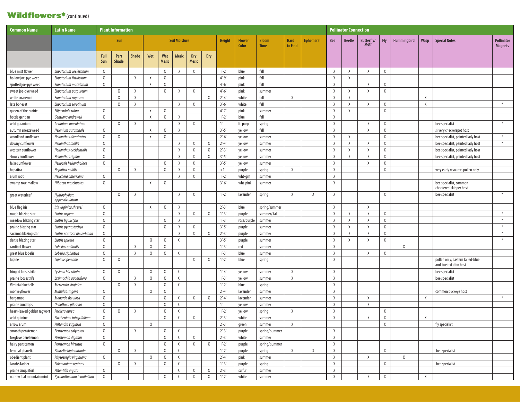### Wildflowers<sup>\*</sup>(continued)

| <b>Common Name</b>          | <b>Latin Name</b>              |        | <b>Plant Information</b> |              |        |              |                      |              |              |               |               |               |             |                  |            | <b>Pollinator Connection</b> |              |            |             |      |                                                            |                   |
|-----------------------------|--------------------------------|--------|--------------------------|--------------|--------|--------------|----------------------|--------------|--------------|---------------|---------------|---------------|-------------|------------------|------------|------------------------------|--------------|------------|-------------|------|------------------------------------------------------------|-------------------|
|                             |                                |        | Sun                      |              |        |              | <b>Soil Moisture</b> |              |              | <b>Height</b> | <b>Flower</b> | <b>Bloom</b>  | <b>Hard</b> | <b>Ephemeral</b> | <b>Bee</b> | <b>Beetle</b>                | Butterfly/   | <b>Fly</b> | Hummingbird | Wasp | <b>Special Notes</b>                                       | <b>Pollinator</b> |
|                             |                                |        |                          |              |        |              |                      |              |              |               | Color         | <b>Time</b>   | to Find     |                  |            |                              | <b>Moth</b>  |            |             |      |                                                            | <b>Magnets</b>    |
|                             |                                | Full   | Part                     | <b>Shade</b> | Wet    | Wet          | <b>Mesic</b>         | Dry          | <b>Dry</b>   |               |               |               |             |                  |            |                              |              |            |             |      |                                                            |                   |
|                             |                                | Sun    | <b>Shade</b>             |              |        | <b>Mesic</b> |                      | <b>Mesic</b> |              |               |               |               |             |                  |            |                              |              |            |             |      |                                                            |                   |
| blue mist flower            | Eupatorium coelestinum         | X      |                          |              |        | $\mathsf{X}$ | X                    | Χ            |              | $1' - 2'$     | blue          | fall          |             |                  | X          | Χ                            | X            | χ          |             |      |                                                            |                   |
| hollow joe-pye weed         | Eupatorium fistulosum          | X      |                          | X            | X      | X            |                      |              |              | $4'-9'$       | pink          | fall          |             |                  | X          | X                            |              |            |             |      |                                                            |                   |
| spotted joe-pye weed        | Eupatorium maculatum           | X      |                          |              | X      | X            |                      |              |              | $4'-6'$       | pink          | fall          |             |                  | Χ          |                              | X            | Χ          |             |      |                                                            |                   |
| sweet joe-pye weed          | Eupatorium purpureum           |        | Χ                        | X            |        | $\chi$       | X                    | X            |              | $4'-6'$       | pink          | summer        |             |                  | X          | X                            | X            | Χ          |             |      |                                                            |                   |
| white snakeroot             | Eupatorium rugosum             |        | X                        | X            |        |              |                      |              | X            | $2' - 4'$     | white         | fall          | $\chi$      |                  | $\chi$     | X                            |              |            |             | X    |                                                            |                   |
| late boneset                | Eupatorium serotinum           |        | Χ                        | X            |        |              | $\chi$               | X            |              | $3'-6'$       | white         | fall          |             |                  | X          | X                            | X            | Χ          |             | X    |                                                            | $\divideontimes$  |
| queen of the prairie        | Filipendula rubra              | χ      |                          |              | X      | $\chi$       |                      |              |              | $4' - 7'$     | pink          | summer        |             |                  | X          | $\chi$                       |              | χ          |             |      |                                                            |                   |
| bottle gentian              | Gentiana andrewsii             | X      |                          |              | X      | X            | $\chi$               |              |              | $1'-2'$       | blue          | fall          |             |                  | X          |                              |              |            |             |      |                                                            |                   |
| wild geranium               | Geranium maculatum             |        | X                        | X            |        |              | X                    | $\chi$       |              | 1'            | It. purp      | spring        |             |                  | Χ          |                              | X            | χ          |             |      | bee specialist                                             | $\divideontimes$  |
| autumn sneezeweed           | Helenium autumnale             | X      |                          |              | X      | X            | $\chi$               |              |              | $3'-5'$       | yellow        | fall          |             |                  | X          |                              | X            | χ          |             |      | silvery checkerspot host                                   |                   |
| woodland sunflower          | Helianthus divaricatus         | X      | X                        |              | X      | X            |                      |              |              | $2'-6'$       | yellow        | summer        |             |                  | X          | Χ                            |              | X          |             |      | bee specialist, painted lady host                          | $\ast$            |
| downy sunflower             | Helianthus mollis              | X      |                          |              |        |              | X                    | X            | X            | $2' - 4'$     | yellow        | summer        |             |                  | X          | X                            | X            | X          |             |      | bee specialist, painted lady host                          | $\ast$            |
| western sunflower           | Helianthus occidentalis        | X      |                          |              |        |              | $\chi$               | X            | $\mathsf{X}$ | $2'-3'$       | yellow        | summer        |             |                  | X          | $\chi$                       | X            | χ          |             |      | bee specialist, painted lady host                          |                   |
| showy sunflower             | Helianthus rigidus             | X      |                          |              |        |              | X                    | $\chi$       | X            | $3'-5'$       | yellow        | summer        |             |                  | X          | X                            | X            | X          |             |      | bee specialist, painted lady host                          |                   |
| false sunflower             | Heliopsis helianthoides        | X      |                          |              |        | $\chi$       | X                    | X            |              | $3'-5'$       | yellow        | summer        |             |                  | X          |                              | X            | Χ          |             |      |                                                            |                   |
| hepatica                    | Hepatica nobilis               |        | X                        | X            |        | $\chi$       | $\chi$               | X            |              | <1'           | purple        | spring        | Χ           |                  | X          |                              |              | χ          |             |      | very early resource, pollen only                           |                   |
| alum root                   | Heuchera americana             | X      |                          |              |        |              | X                    | $\chi$       |              | $1'-2'$       | wht-grn       | summer        |             |                  | X          |                              |              |            |             |      |                                                            |                   |
| swamp rose mallow           | Hibiscus moschuetos            | $\chi$ |                          |              | X      | X            |                      |              |              | $3'-6'$       | wht-pink      | summer        |             |                  | Χ          |                              |              |            |             |      | bee specialist, common<br>checkered-skipper host           |                   |
| great waterleaf             | Hydrophyllum<br>appendiculatum |        | Χ                        | X            |        |              | X                    | X            |              | $1'-2'$       | lavender      | spring        | Χ           | X                | Χ          |                              |              | Χ          |             |      | bee specialist                                             | $\divideontimes$  |
| blue flag iris              | Iris virginica shrevei         | X      |                          |              | X      | $\chi$       | $\chi$               |              |              | $2'-3'$       | blue          | spring/summer |             |                  | X          |                              | X            |            |             |      |                                                            |                   |
| rough blazing star          | Liatris aspera                 | X      |                          |              |        |              | $\chi$               | X            | X            | $1'-3'$       | purple        | summer/fall   |             |                  | X          | Χ                            | X            | Χ          |             |      |                                                            | $\ast$            |
| meadow blazing star         | Liatris ligulistylis           | X      |                          |              |        | X            | X                    |              |              | $1'-3'$       | rose/purple   | summer        |             |                  | X          | X                            | X            | X          |             |      |                                                            | $\ast$            |
| prairie blazing star        | Liatris pycnostachya           | X      |                          |              |        | $\chi$       | $\chi$               | $\chi$       |              | $3'-5'$       | purple        | summer        |             |                  | X          | $\lambda$                    | $\mathsf{X}$ | χ          |             |      |                                                            | $\ast$            |
| savanna blazing star        | Liatris scariosa nieuwlandii   | X      |                          |              |        |              | X                    | Χ            | X            | $2'-3'$       | purple        | summer        |             |                  | X          | X                            | X            | χ          |             |      |                                                            | $\ast$            |
| dense blazing star          | Liatris spicata                | X      |                          |              | X      | $\chi$       | $\chi$               |              |              | $3'-5'$       | purple        | summer        |             |                  | X          | X                            | X            | Χ          |             |      |                                                            | $\ast$            |
| cardinal flower             | Lobelia cardinalis             | X      |                          | $\chi$       | X      | $\chi$       |                      |              |              | $1'-3'$       | red           | summer        |             |                  | X          |                              |              |            | X           |      |                                                            |                   |
| great blue lobelia          | Lobelia siphilitica            | X      |                          | X            | X      | X            | X                    |              |              | $1'-3'$       | blue          | summer        |             |                  | X          |                              | X            | Χ          |             |      |                                                            |                   |
| lupine                      | Lupinus perennis               | $\chi$ | Χ                        |              |        |              |                      | $\chi$       | X            | $1'-2'$       | blue          | spring        |             |                  | Χ          |                              |              |            |             |      | pollen only; eastern tailed-blue<br>and frosted elfin host |                   |
| fringed loosestrife         | Lysimachia ciliata             | X      | X                        |              | X      | X            | $\mathsf{X}$         |              |              | $1' - 4'$     | yellow        | summer        | Χ           |                  | X          |                              |              |            |             |      | bee specialist                                             |                   |
| prairie loosestrife         | Lysimachia quadriflora         | X      |                          | X            | X      | X            | Χ                    |              |              | $1' - 3'$     | yellow        | summer        | Χ           |                  | Χ          |                              |              |            |             |      | bee specialist                                             |                   |
| Virginia bluebells          | Mertensia virginica            |        | $\chi$                   | X            |        | $\chi$       | X                    |              |              | $1'-2'$       | blue          | spring        |             |                  | X          |                              |              |            |             |      |                                                            |                   |
| monkeyflower                | Mimulus ringens                | X      |                          |              | $\chi$ | $\mathsf{X}$ |                      |              |              | $2' - 4'$     | lavender      | summer        |             |                  | X          |                              |              |            |             |      | common buckeye host                                        |                   |
| bergamot                    | Monarda fistulosa              | X      |                          |              |        | X            | Χ                    | $\chi$       | X            | $2' - 4'$     | lavender      | summer        |             |                  | X          |                              | X            |            |             | Χ    |                                                            | $\ast$            |
| prairie sundrops            | Oenothera pilosella            | $\chi$ |                          |              |        | X            | X                    |              |              | 1'            | vellow        | summer        |             |                  | X          |                              | X            |            |             |      |                                                            |                   |
| heart-leaved golden ragwort | Packera aurea                  | X      | X                        | X            |        | X            | X                    |              |              | $1'-2'$       | yellow        | spring        | X           |                  | X          |                              |              | X          |             |      |                                                            |                   |
| wild quinine                | Parthenium integrifolium       | X      |                          |              |        | X            | χ                    | $\chi$       |              | $2'-3'$       | white         | summer        |             |                  | X          |                              | $\chi$       | $\chi$     |             | Χ    |                                                            |                   |
| arrow arum                  | Peltandra virginica            | χ      |                          |              | X      |              |                      |              |              | $2'-3'$       | green         | summer        | X           |                  |            |                              |              | χ          |             |      | fly specialist                                             |                   |
| smooth penstemon            | Penstemon calycosus            | X      |                          | X            |        | X            | $\chi$               |              |              | $2'-3'$       | purple        | spring/summer |             |                  | X          |                              |              |            |             |      |                                                            |                   |
| foxglove penstemon          | Penstemon digitalis            | X      |                          |              |        | X            | X                    | X            |              | $2'-3'$       | white         | summer        |             |                  | X          |                              |              |            |             |      |                                                            |                   |
| hairy penstemon             | Penstemon hirsutus             | X      |                          |              |        | $\chi$       | X                    | $\chi$       | X            | $1'-2'$       | purple        | spring/summer |             |                  | X          |                              |              |            |             |      |                                                            |                   |
| fernleaf phacelia           | Phacelia bipinnatifida         |        | Χ                        | X            |        | $\chi$       | $\chi$               |              |              | $1'-2'$       | purple        | spring        | X           | $\chi$           | X          |                              |              | X          |             |      | bee specialist                                             |                   |
| obedient plant              | Physostegia virginiana         | X      |                          |              | X      | X            | X                    |              |              | $2' - 4'$     | pink          | summer        |             |                  | X          |                              | X            |            | X           |      |                                                            |                   |
| Jacob's ladder              | Polemonium reptans             |        | X                        | X            |        | $\chi$       | $\chi$               |              |              | $1'-3'$       | purple        | spring        |             |                  | X          |                              |              | X          |             |      | bee specialist                                             |                   |
| prairie cinquefoil          | Potentilla arguta              | X      |                          |              |        |              | X                    | X            | X            | $2'-3'$       | sulfur        | summer        |             |                  | X          |                              |              |            |             |      |                                                            |                   |
| narrow leaf mountain mint   | Pycnanthemum tenuifolium       | X      |                          |              |        | X            | $\chi$               | X            | $\chi$       | $1'-2'$       | white         | summer        |             |                  | X          |                              | X            | χ          |             | X    |                                                            |                   |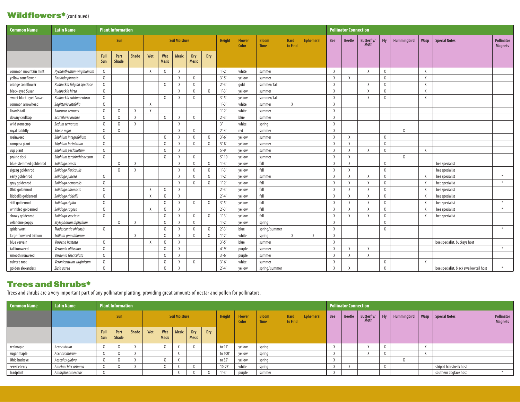#### Wildflowers\*(continued)

| <b>Common Name</b>      | <b>Latin Name</b>          |             | <b>Plant Information</b> |              |        |                     |                      |                     |           |               |                        |                             |                        |                  |        | <b>Pollinator Connection</b> |                     |        |             |        |                                        |                                     |
|-------------------------|----------------------------|-------------|--------------------------|--------------|--------|---------------------|----------------------|---------------------|-----------|---------------|------------------------|-----------------------------|------------------------|------------------|--------|------------------------------|---------------------|--------|-------------|--------|----------------------------------------|-------------------------------------|
|                         |                            |             | Sun                      |              |        |                     | <b>Soil Moisture</b> |                     |           | <b>Height</b> | <b>Flower</b><br>Color | <b>Bloom</b><br><b>Time</b> | <b>Hard</b><br>to Find | <b>Ephemeral</b> | Bee    | <b>Beetle</b>                | Butterfly/<br>Moth  | Fly    | Hummingbird | Wasp   | <b>Special Notes</b>                   | <b>Pollinator</b><br><b>Magnets</b> |
|                         |                            | Full<br>Sun | Part<br>Shade            | <b>Shade</b> | Wet    | Wet<br><b>Mesic</b> | <b>Mesic</b>         | Dry<br><b>Mesic</b> | Dry       |               |                        |                             |                        |                  |        |                              |                     |        |             |        |                                        |                                     |
| common mountain mint    | Pycnanthemum virginianum   | X           |                          |              | X      | Χ                   | X                    |                     |           | $1'-2'$       | white                  | summer                      |                        |                  | X      |                              | X                   | Χ      |             | Χ      |                                        |                                     |
| yellow coneflower       | Ratibida pinnata           | $\chi$      |                          |              |        |                     | $\chi$               | X                   |           | $3'-5'$       | yellow                 | summer                      |                        |                  | $\chi$ | X                            |                     | $\chi$ |             | $\chi$ |                                        |                                     |
| orange coneflower       | Rudbeckia fulgida speciosa | Χ           |                          |              |        | X                   | $\chi$               | X                   |           | $2' - 3'$     | gold                   | summer/fall                 |                        |                  | $\chi$ |                              | $\lambda$           | Χ      |             | Χ      |                                        |                                     |
| black-eyed Susan        | Rudbeckia hirta            | Χ           |                          |              |        |                     | X                    | X                   |           | $1'-3'$       | yellow                 | summer                      |                        |                  | X      |                              | $\lambda$           | Χ      |             | X      |                                        |                                     |
| sweet black-eyed Susan  | Rudbeckia subtomentosa     | X           |                          |              |        | X                   | $\chi$               | X                   |           | $3'-5'$       | vellow                 | summer/fall                 |                        |                  | $\chi$ |                              | $\boldsymbol{\chi}$ | $\chi$ |             | X      |                                        |                                     |
| common arrowhead        | Sagittaria latifolia       | X           |                          |              | X      |                     |                      |                     |           | $1'-3'$       | white                  | summer                      | X                      |                  | $\chi$ |                              |                     |        |             |        |                                        |                                     |
| lizard's tail           | Saururus cernuus           | X           | X                        | X            | X      |                     |                      |                     |           | $1'-2'$       | white                  | summer                      |                        |                  | X      |                              |                     |        |             |        |                                        |                                     |
| downy skullcap          | Scutellaria incana         | X           | $\chi$                   | $\chi$       |        | X                   | $\chi$               | X                   |           | $2' - 3'$     | blue                   | summer                      |                        |                  | $\chi$ |                              |                     |        |             |        |                                        |                                     |
| wild stonecrop          | Sedum ternatum             | $\chi$      | $\chi$                   | X            |        |                     | $\chi$               |                     |           | 3''           | white                  | spring                      |                        |                  | X      |                              |                     |        |             |        |                                        |                                     |
| royal catchfly          | Silene regia               | X           | X                        |              |        |                     | X                    | X                   |           | $2' - 4'$     | red                    | summer                      |                        |                  | X      |                              |                     |        | X           |        |                                        |                                     |
| rosinweed               | Silphium integrifolium     | X           |                          |              |        | X                   | $\chi$               | X                   |           | $3'-6'$       | yellow                 | summer                      |                        |                  | $\chi$ | X                            |                     | Χ      |             |        |                                        |                                     |
| compass plant           | Silphium laciniatum        | X           |                          |              |        | Χ                   | X                    | X                   | X         | $5' - 8'$     | yellow                 | summer                      |                        |                  | X      | X                            |                     | X      |             |        |                                        |                                     |
| cup plant               | Silphium perfoliatum       | $\chi$      |                          |              |        | X                   | $\chi$               |                     |           | $5' - 9'$     | vellow                 | summer                      |                        |                  | $\chi$ | $\lambda$                    | $\lambda$           | Χ      |             | $\chi$ |                                        |                                     |
| prairie dock            | Silphium terebinthinaceum  | X           |                          |              |        | X                   | $\chi$               | X                   |           | $5' - 10'$    | yellow                 | summer                      |                        |                  | $\chi$ | X                            |                     |        | $\chi$      |        |                                        |                                     |
| blue-stemmed goldenrod  | Solidago caesia            |             | $\chi$                   | X            |        |                     | X                    | X                   |           | $1'-3'$       | yellow                 | fall                        |                        |                  | X      | X                            |                     | Χ      |             |        | bee specialist                         |                                     |
| zigzag goldenrod        | Solidago flexicaulis       |             | $\chi$                   | $\chi$       |        |                     | $\chi$               | X                   |           | $1'-3'$       | vellow                 | fall                        |                        |                  | $\chi$ | $\lambda$                    |                     | $\chi$ |             |        | bee specialist                         |                                     |
| early goldenrod         | Solidago juncea            | X           |                          |              |        |                     | $\chi$               | X                   |           | $1'-2'$       | yellow                 | summer                      |                        |                  | $\chi$ | X                            | X                   | Χ      |             | X      | bee specialist                         | $\ast$                              |
| gray goldenrod          | Solidago nemoralis         | X           |                          |              |        |                     | $\chi$               | X                   | X         | $1'-2'$       | yellow                 | fall                        |                        |                  | X      | X                            | $\lambda$           | X      |             |        | bee specialist                         | $\ast$                              |
| Ohio goldenrod          | Solidago ohioensis         | $\chi$      |                          |              | X      | X                   | $\chi$               |                     |           | $2' - 3'$     | vellow                 | fall                        |                        |                  | $\chi$ | X                            | $\lambda$           | Χ      |             |        | bee specialist                         |                                     |
| Riddell's goldenrod     | Solidago riddellii         | X           |                          |              | X      | X                   | $\chi$               |                     |           | $2' - 4'$     | yellow                 | fall                        |                        |                  | $\chi$ | X                            | $\lambda$           | X      |             |        | bee specialist                         |                                     |
| stiff goldenrod         | Solidago rigida            | X           |                          |              |        | X                   | X                    | X                   | $\lambda$ | $3' - 5'$     | yellow                 | fall                        |                        |                  | X      | X                            | $\lambda$           | X      |             |        | bee specialist                         | $\ast$                              |
| wrinkled goldenrod      | Solidago rugosa            | $\chi$      |                          |              | $\chi$ | X                   | $\chi$               |                     |           | $2' - 3'$     | vellow                 | fall                        |                        |                  | $\chi$ | X                            | $\lambda$           | Χ      |             |        | bee specialist                         | $\ast$                              |
| showy goldenrod         | Solidago speciosa          | $\chi$      |                          |              |        | X                   | $\chi$               | X                   | X         | $1'-3'$       | yellow                 | fall                        |                        |                  | $\chi$ | X                            | $\chi$              | X      |             | X      | bee specialist                         |                                     |
| celandine poppy         | Stylophorum diphyllum      |             | $\chi$                   | X            |        | Χ                   | X                    | X                   |           | $1'-2'$       | yellow                 | spring                      |                        |                  | X      |                              |                     | X      |             |        |                                        |                                     |
| spiderwort              | Tradescantia ohiensis      | X           |                          |              |        | X                   | $\chi$               | X                   |           | $2' - 3'$     | blue                   | spring/summer               |                        |                  | $\chi$ |                              |                     | $\chi$ |             |        |                                        | $*$                                 |
| large-flowered trillium | Trillium grandiflorum      |             |                          | $\chi$       |        | X                   | X                    | X                   |           | $1'-2'$       | white                  | spring                      | X                      | X                | X      |                              |                     |        |             |        |                                        |                                     |
| blue vervain            | Verbena hastata            | $\chi$      |                          |              | $\chi$ | X                   | $\chi$               |                     |           | $3' - 5'$     | blue                   | summer                      |                        |                  | $\chi$ |                              |                     |        |             |        | bee specialist. buckeye host           |                                     |
| tall ironweed           | Vernonia altissima         | X           |                          |              |        | X                   | $\chi$               |                     |           | $4' - 9'$     | purple                 | summer                      |                        |                  | $\chi$ | X                            | $\lambda$           |        |             |        |                                        | $*$                                 |
| smooth ironweed         | Vernonia fasciculata       | X           |                          |              |        | X                   | X                    |                     |           | $3'-6'$       | purple                 | summer                      |                        |                  | X      | X                            | X                   |        |             |        |                                        |                                     |
| culver's root           | Veronicastrum virginicum   | X           |                          |              |        | $\chi$              | X                    | X                   |           | $3'-6'$       | white                  | summer                      |                        |                  | $\chi$ |                              |                     | X      |             | X      |                                        |                                     |
| golden alexanders       | Zizia aurea                | X           |                          |              |        | X                   | X                    |                     |           | $2' - 4'$     | vellow                 | spring/summer               |                        |                  | X      | X                            |                     | X      |             |        | bee specialist, black swallowtail host | $\ast$                              |

#### Trees and Shrubs\*

Trees and shrubs are a very important part of any pollinator planting, providing great amounts of nectar and pollen for pollinators.

| <b>Common Name</b> | <b>Latin Name</b>   |                          | <b>Plant Information</b>        |  |  |                     |                      |                     |     |               |                        |                             |                        |                  |     | <b>Pollinator Connection</b> |                           |            |             |                         |                              |
|--------------------|---------------------|--------------------------|---------------------------------|--|--|---------------------|----------------------|---------------------|-----|---------------|------------------------|-----------------------------|------------------------|------------------|-----|------------------------------|---------------------------|------------|-------------|-------------------------|------------------------------|
|                    |                     |                          | Sun                             |  |  |                     | <b>Soil Moisture</b> |                     |     | <b>Height</b> | <b>Flower</b><br>Color | <b>Bloom</b><br><b>Time</b> | <b>Hard</b><br>to Find | <b>Ephemeral</b> | Bee | <b>Beetle</b>                | Butterfly/<br><b>Moth</b> | <b>Fly</b> | Hummingbird | Wasp   Special Notes    | Pollinator<br><b>Magnets</b> |
|                    |                     | Full<br>Sun              | Part<br>Shade  <br><b>Shade</b> |  |  | Wet<br><b>Mesic</b> | <b>Mesic</b>         | Dry<br><b>Mesic</b> | Dry |               |                        |                             |                        |                  |     |                              |                           |            |             |                         |                              |
| red maple          | Acer rubrum         |                          |                                 |  |  | $\lambda$           |                      |                     |     | to 95'        | yellow                 | spring                      |                        |                  |     |                              |                           |            |             |                         |                              |
| sugar maple        | Acer saccharum      |                          |                                 |  |  |                     |                      |                     |     | to 100'       | yellow                 | spring                      |                        |                  |     |                              |                           |            |             |                         |                              |
| Ohio buckeye       | Aesculus glabra     | $\overline{\phantom{a}}$ |                                 |  |  | $\lambda$           |                      |                     |     | to 35'        | vellow                 | spring                      |                        |                  |     |                              |                           |            |             |                         |                              |
| serviceberry       | Amelanchier arborea | $\overline{\phantom{a}}$ |                                 |  |  | $\overline{u}$      |                      |                     |     | $10 - 25'$    | white                  | spring                      |                        |                  |     |                              |                           |            |             | striped hairstreak host |                              |
| leadplant          | Amorpha canescens   | $\overline{u}$           |                                 |  |  |                     |                      |                     |     | $1' - 3'$     | purple                 | summer                      |                        |                  |     |                              |                           |            |             | southern dogface host   |                              |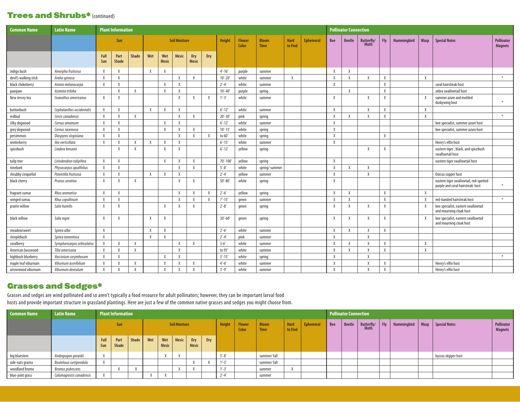#### Trees and Shrubs\* (continued)

| <b>Common Name</b>    | <b>Latin Name</b>          |              | <b>Plant Information</b> |              |              |                     |                      |                     |           |             |                        |                             |                 |                  |              | <b>Pollinator Connection</b> |                           |              |             |        |                                                                            |                              |
|-----------------------|----------------------------|--------------|--------------------------|--------------|--------------|---------------------|----------------------|---------------------|-----------|-------------|------------------------|-----------------------------|-----------------|------------------|--------------|------------------------------|---------------------------|--------------|-------------|--------|----------------------------------------------------------------------------|------------------------------|
|                       |                            |              | Sun                      |              |              |                     | <b>Soil Moisture</b> |                     |           | Height      | <b>Flower</b><br>Color | <b>Bloom</b><br><b>Time</b> | Hard<br>to Find | <b>Ephemeral</b> | Bee          | <b>Beetle</b>                | Butterfly/<br><b>Moth</b> | <b>Fly</b>   | Hummingbird | Wasp   | <b>Special Notes</b>                                                       | Pollinator<br><b>Magnets</b> |
|                       |                            | Full<br>Sun  | Part<br><b>Shade</b>     | <b>Shade</b> | Wet          | Wet<br><b>Mesic</b> | <b>Mesic</b>         | Dry<br><b>Mesic</b> | Dry       |             |                        |                             |                 |                  |              |                              |                           |              |             |        |                                                                            |                              |
| indigo bush           | Amorpha fruticosa          | X            | X                        |              | X            | $\chi$              |                      |                     |           | $4' - 16'$  | purple                 | summer                      |                 |                  | $\chi$       | X                            |                           |              |             |        |                                                                            |                              |
| devil's walking stick | Aralia spinosa             | X            | X                        |              |              |                     | $\chi$               | X                   |           | $10'-20'$   | white                  | summer                      | X               |                  | $\chi$       | X                            | X                         | X            |             | $\chi$ |                                                                            | $*$                          |
| black chokeberry      | Aronia melanocarpa         | $\mathsf{X}$ | X                        |              |              | $\chi$              | X                    |                     |           | $2' - 4'$   | white                  | summer                      |                 |                  | $\chi$       |                              |                           | $\mathsf{X}$ |             |        | coral hairstreak host                                                      |                              |
| pawpaw                | Asimina triloba            |              | $\mathsf{X}$             | $\mathsf{X}$ |              | X                   | X                    |                     |           | $10' - 40'$ | purple                 | spring                      |                 |                  |              | $\chi$                       |                           | X            |             |        | zebra swallowtail host                                                     |                              |
| New Jersey tea        | Ceanothus americanus       | $\chi$       | X                        |              |              |                     | $\chi$               | X                   | X         | $1' - 3'$   | white                  | summer                      |                 |                  | X            |                              | $\lambda$                 | $\chi$       |             | $\chi$ | summer azure and mottled<br>duskywing host                                 | $\ast$                       |
| buttonbush            | Cephalanthes occidentalis  | $\chi$       | $\chi$                   |              | $\mathsf{X}$ | X                   | $\chi$               |                     |           | $6' - 12'$  | white                  | summer                      |                 |                  | $\chi$       |                              | X                         | X            |             | Χ      |                                                                            |                              |
| redbud                | Cercis canadensis          | X            | X                        | X            |              |                     | $\chi$               | X                   |           | $20' - 30'$ | pink                   | spring                      |                 |                  | $\chi$       | X                            | X                         | X            |             | $\chi$ |                                                                            | $\ast$                       |
| silky dogwood         | Cornus amomum              | X            | $\chi$                   |              |              | X                   | Χ                    |                     |           | $6' - 12'$  | white                  | summer                      |                 |                  | $\chi$       |                              |                           |              |             |        | bee specialist, summer azure host                                          |                              |
| grey dogwood          | Cornus racemosa            | X            | X                        |              |              | $\chi$              | $\chi$               | X                   |           | $10' - 15'$ | white                  | spring                      |                 |                  | $\chi$       |                              |                           |              |             |        | bee specialist, summer azure host                                          |                              |
| persimmon             | Diospyros virginiana       | X            | X                        |              |              |                     | $\chi$               | X                   |           | to 60'      | white                  | spring                      |                 |                  | $\chi$       |                              |                           | X            |             |        |                                                                            |                              |
| winterberry           | llex verticillata          | X            | X                        | X            | X            | $\chi$              | $\chi$               |                     |           | $6' - 15'$  | white                  | summer                      |                 |                  | X            |                              |                           |              |             |        | Henry's elfin host                                                         |                              |
| spicebush             | Lindera benzoin            |              | $\chi$                   | X            |              | $\chi$              | $\chi$               |                     |           | $6' - 12'$  | vellow                 | spring                      |                 |                  |              |                              | X                         | X            |             |        | eastern tiger, black, and spicebush<br>swallowtail host                    |                              |
| tulip tree            | Liriodendron tulipifera    | $\mathsf{X}$ | $\chi$                   |              |              | X                   | X                    | X                   |           | 70'-100'    | yellow                 | spring                      |                 |                  | $\chi$       |                              |                           |              |             |        | eastern tiger swallowtail host                                             |                              |
| ninebark              | Physocarpus opulifolius    | X            | X                        |              |              |                     | X                    | X                   |           | $5' - 8'$   | white                  | spring/summer               |                 |                  | X            | X                            | $\chi$                    |              |             |        |                                                                            |                              |
| shrubby cinquefoil    | Potentilla fruticosa       | Χ            | X                        |              | X            | X                   | X                    |                     |           | $2' - 4'$   | yellow                 | summer                      |                 |                  | X            |                              | $\lambda$                 |              |             |        | Dorcas copper host                                                         |                              |
| black cherry          | Prunus serotina            | $\chi$       | $\chi$                   | X            |              |                     | $\chi$               | X                   |           | $50' - 80'$ | white                  | spring                      |                 |                  | $\chi$       |                              |                           |              |             |        | eastern tiger swallowtail, red-spotted<br>purple and coral hairstreak host | $\ast$                       |
| fragrant sumac        | Rhus aromatica             | $\chi$       | X                        |              |              |                     | X                    | X                   | $\lambda$ | $2' - 6'$   | yellow                 | spring                      |                 |                  | $\chi$       | X                            |                           | $\chi$       |             | $\chi$ |                                                                            |                              |
| winged sumac          | Rhus copallinum            | X            | X                        |              |              |                     | $\lambda$            | X                   | $\lambda$ | $7' - 15'$  | green                  | summer                      |                 |                  | X            | X                            |                           | $\chi$       |             |        | red-banded hairstreak host                                                 | $\divideontimes$             |
| prairie willow        | Salix humilis              | X            | X                        |              |              | X                   | $\mathsf{X}$         | X                   |           | $2'-8'$     | green                  | spring                      |                 |                  | X            | X                            | X                         | X            |             | X      | bee specialist, eastern swallowtail<br>and mourning cloak host             |                              |
| black willow          | Salix nigra                | X            | X                        |              | X            | $\chi$              |                      |                     |           | $30'-60'$   | green                  | spring                      |                 |                  | $\chi$       | X                            | $\lambda$                 | X            |             |        | bee specialist, eastern swallowtail<br>and mourning cloak host             |                              |
| meadowsweet           | Spirea alba                | X            |                          |              | X            | X                   |                      |                     |           | $2'-6'$     | white                  | summer                      |                 |                  | X            | X                            | $\mathsf{X}$              | Χ            |             |        |                                                                            |                              |
| steeplebush           | Spirea tomentosa           | $\chi$       |                          |              | X            | X                   |                      |                     |           | $2' - 4'$   | pink                   | summer                      |                 |                  | X            |                              | X                         |              |             |        |                                                                            |                              |
| coralberry            | Symphoricarpos orbiculatus | X            | $\chi$                   | X            |              |                     | Χ                    | X                   |           | $3 - 6'$    | white                  | summer                      |                 |                  | X            | X                            | X                         | Χ            |             | Χ      |                                                                            |                              |
| American basswood     | Tilia americana            | $\chi$       | $\chi$                   | $\mathsf{X}$ |              |                     | X                    |                     |           | to 95'      | white                  | summer                      |                 |                  | $\chi$       | X                            | $\mathbf{x}$              | X            |             | Χ      |                                                                            |                              |
| highbush blueberry    | Vaccinium corymbosum       | X            | $\chi$                   |              |              | $\chi$              | $\chi$               |                     |           | $3' - 15'$  | white                  | spring                      |                 |                  | $\chi$       |                              | $\chi$                    |              |             |        |                                                                            | $\ast$                       |
| maple leaf viburnum   | Viburnum acerifolium       | X            | X                        |              |              | $\chi$              | $\chi$               | X                   |           | $4' - 6'$   | white                  | summer                      |                 |                  | $\chi$       |                              | $\chi$                    | X            |             |        | Henry's elfin host                                                         |                              |
| arrowwood viburnum    | Viburnum dentatum          | $\chi$       | X                        |              |              | $\chi$              | $\chi$               | X                   |           | $3' - 9'$   | white                  | summer                      |                 |                  | $\mathsf{X}$ |                              | $\chi$                    | X            |             |        | Henry's elfin host                                                         |                              |

#### Grasses and Sedges\*

Grasses and sedges are wind pollinated and so aren't typically a food resource for adult pollinators; however, they can be important larval food hosts and provide important structure in grassland plantings. Here are just a few of the common native grasses and sedges you might choose from.

| <b>Common Name</b> | <b>Latin Name</b>        |                | <b>Plant Information</b> |  |  |                      |                      |                     |     |           |                        |                             |                        |                  |     | <b>Pollinator Connection</b> |                    |         |             |      |                      |                              |
|--------------------|--------------------------|----------------|--------------------------|--|--|----------------------|----------------------|---------------------|-----|-----------|------------------------|-----------------------------|------------------------|------------------|-----|------------------------------|--------------------|---------|-------------|------|----------------------|------------------------------|
|                    |                          |                | Sun                      |  |  |                      | <b>Soil Moisture</b> |                     |     | Height    | <b>Flower</b><br>Color | <b>Bloom</b><br><b>Time</b> | <b>Hard</b><br>to Find | <b>Ephemeral</b> | Bee | <b>Beetle</b>                | Butterfly/<br>Moth | $ $ Fly | Hummingbird | Wasp | <b>Special Notes</b> | Pollinator<br><b>Magnets</b> |
|                    |                          | Full<br>Sun    | Part<br>Shade  <br>Shade |  |  | Wet<br><b>Mesic</b>  | <b>Mesic</b>         | Dry<br><b>Mesic</b> | Dry |           |                        |                             |                        |                  |     |                              |                    |         |             |      |                      |                              |
| big bluestem       | Andropogon gerardii      | X              |                          |  |  | $\ddot{\phantom{1}}$ |                      |                     |     | $5' - 8'$ |                        | summer/fall                 |                        |                  |     |                              |                    |         |             |      | byssus skipper host  |                              |
| side-oats grama    | Bouteloua curtipendula   | $\overline{M}$ |                          |  |  |                      |                      |                     |     | $1' - 3'$ |                        | summer/fall                 |                        |                  |     |                              |                    |         |             |      |                      |                              |
| woodland brome     | Bromus pubescens         |                |                          |  |  |                      |                      |                     |     | $1' - 3'$ |                        | summer                      | $\overline{1}$         |                  |     |                              |                    |         |             |      |                      |                              |
| blue-joint grass   | Calamagrostis canadensis | $\overline{M}$ |                          |  |  |                      |                      |                     |     | $2' - 4'$ |                        | summer                      |                        |                  |     |                              |                    |         |             |      |                      |                              |